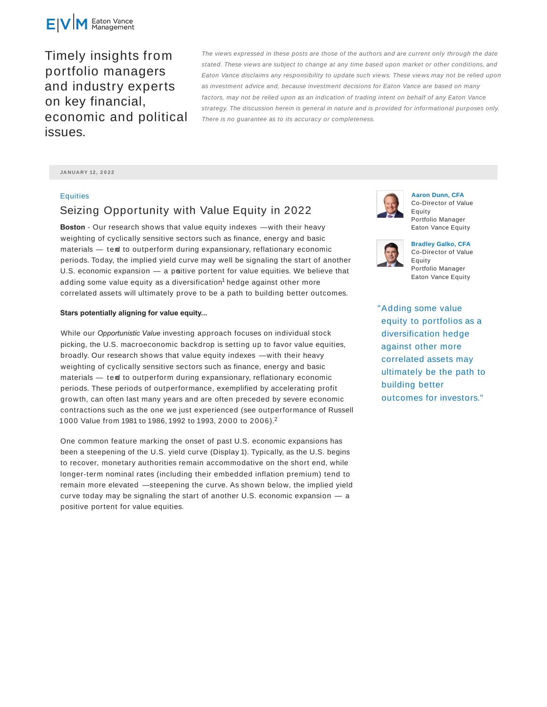

Timely insights from portfolio managers and industry experts on key financial, economic and political issues.

The views expressed in these posts are those of the authors and are current only through the date stated. These views are subject to change at any time based upon market or other conditions, and Eaton Vance disclaims any responsibility to update such views. These views may not be relied upon as investment advice and, because investment decisions for Eaton Vance are based on many factors, may not be relied upon as an indication of trading intent on behalf of any Eaton Vance strategy. The discussion herein is general in nature and is provided for informational purposes only. There is no guarantee as to its accuracy or completeness.

**JA N UA RY 12 , 2 0 2 2**

## **Equities**

## Seizing Opportunity with Value Equity in 2022

**Boston** - Our research shows that value equity indexes — with their heavy weighting of cyclically sensitive sectors such as finance, energy and basic materials — tend to outperform during expansionary, reflationary economic periods. Today, the implied yield curve may well be signaling the start of another U.S. economic expansion  $-$  a poitive portent for value equities. We believe that adding some value equity as a diversification<sup>1</sup> hedge against other more correlated assets will ultimately prove to be a path to building better outcomes.

## **Stars potentially aligning for value equity...**

While our *Opportunistic Value* investing approach focuses on individual stock picking, the U.S. macroeconomic backdrop is setting up to favor value equities, broadly. Our research shows that value equity indexes — with their heavy weighting of cyclically sensitive sectors such as finance, energy and basic materials - tend to outperform during expansionary, reflationary economic periods. These periods of outperformance, exemplified by accelerating profit growth, can often last many years and are often preceded by severe economic contractions such as the one we just experienced (see outperformance of Russell 1000 Value from 1981 to 1986, 1992 to 1993, 2000 to 2006).<sup>2</sup>

One common feature marking the onset of past U.S. economic expansions has been a steepening of the U.S. yield curve (Display 1). Typically, as the U.S. begins to recover, monetary authorities remain accommodative on the short end, while longer-term nominal rates (including their embedded inflation premium) tend to remain more elevated — steepening the curve. As shown below, the implied yield curve today may be signaling the start of another U.S. economic expansion — a positive portent for value equities.



**Aaron Dunn, CFA** Co-Director of Value Equity Portfolio Manager Eaton Vance Equity



**Bradley Galko, CFA** Co-Director of Value Equity Portfolio Manager Eaton Vance Equity

"Adding some value equity to portfolios as a diversification hedge against other more correlated assets may ultimately be the path to building better outcomes for investors."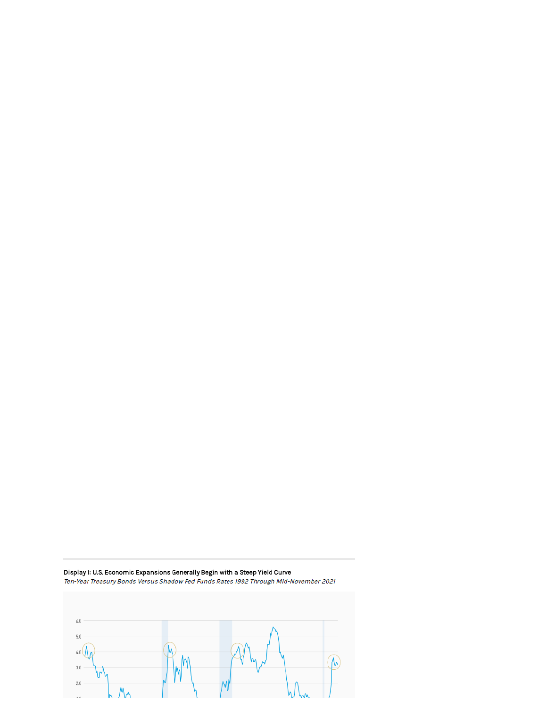

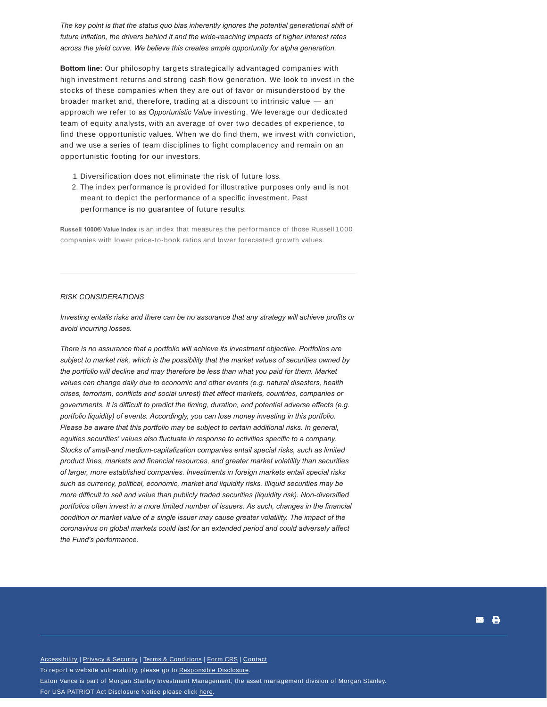*The key point is that the status quo bias inherently ignores the potential generational shift of future inflation, the drivers behind it and the wide-reaching impacts of higher interest rates across the yield curve. We believe this creates ample opportunity for alpha generation.*

**Bottom line:** Our philosophy targets strategically advantaged companies with high investment returns and strong cash flow generation. We look to invest in the stocks of these companies when they are out of favor or misunderstood by the broader market and, therefore, trading at a discount to intrinsic value — an approach we refer to as *Opportunistic Value* investing. We leverage our dedicated team of equity analysts, with an average of over two decades of experience, to find these opportunistic values. When we do find them, we invest with conviction, and we use a series of team disciplines to fight complacency and remain on an opportunistic footing for our investors.

- 1. Diversification does not eliminate the risk of future loss.
- 2. The index performance is provided for illustrative purposes only and is not meant to depict the performance of a specific investment. Past performance is no guarantee of future results.

**Russell 1000® Value Index** is an index that measures the performance of those Russell 1000 companies with lower price-to-book ratios and lower forecasted growth values.

## *RISK CONSIDERATIONS*

*Investing entails risks and there can be no assurance that any strategy will achieve profits or avoid incurring losses.*

*There is no assurance that a portfolio will achieve its investment objective. Portfolios are subject to market risk, which is the possibility that the market values of securities owned by the portfolio will decline and may therefore be less than what you paid for them. Market values can change daily due to economic and other events (e.g. natural disasters, health crises, terrorism, conflicts and social unrest) that affect markets, countries, companies or governments. It is difficult to predict the timing, duration, and potential adverse effects (e.g. portfolio liquidity) of events. Accordingly, you can lose money investing in this portfolio. Please be aware that this portfolio may be subject to certain additional risks. In general, equities securities' values also fluctuate in response to activities specific to a company. Stocks of small-and medium-capitalization companies entail special risks, such as limited product lines, markets and financial resources, and greater market volatility than securities of larger, more established companies. Investments in foreign markets entail special risks such as currency, political, economic, market and liquidity risks. Illiquid securities may be more difficult to sell and value than publicly traded securities (liquidity risk). Non-diversified portfolios often invest in a more limited number of issuers. As such, changes in the financial condition or market value of a single issuer may cause greater volatility. The impact of the coronavirus on global markets could last for an extended period and could adversely affect the Fund's performance.*

Accessibility | Privacy & Security | Terms & Conditions | Form CRS | Contact To report a website vulnerability, please go to Responsible Disclosure. Eaton Vance is part of Morgan Stanley Investment Management, the asset management division of Morgan Stanley. For USA PATRIOT Act Disclosure Notice please click here.